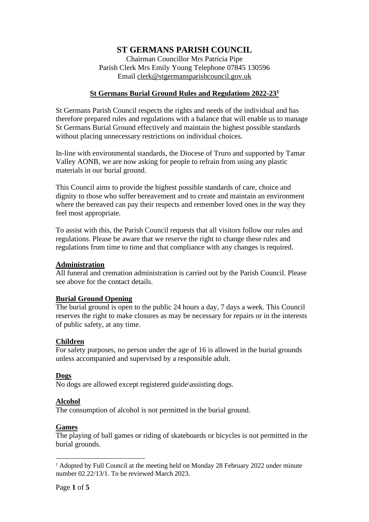# **ST GERMANS PARISH COUNCIL**

Chairman Councillor Mrs Patricia Pipe Parish Clerk Mrs Emily Young Telephone 07845 130596 Email [clerk@stgermansparishcouncil.gov.uk](mailto:clerk@stgermansparishcouncil.gov.uk)

# **St Germans Burial Ground Rules and Regulations 2022-23<sup>1</sup>**

St Germans Parish Council respects the rights and needs of the individual and has therefore prepared rules and regulations with a balance that will enable us to manage St Germans Burial Ground effectively and maintain the highest possible standards without placing unnecessary restrictions on individual choices.

In-line with environmental standards, the Diocese of Truro and supported by Tamar Valley AONB, we are now asking for people to refrain from using any plastic materials in our burial ground.

This Council aims to provide the highest possible standards of care, choice and dignity to those who suffer bereavement and to create and maintain an environment where the bereaved can pay their respects and remember loved ones in the way they feel most appropriate.

To assist with this, the Parish Council requests that all visitors follow our rules and regulations. Please be aware that we reserve the right to change these rules and regulations from time to time and that compliance with any changes is required.

## **Administration**

All funeral and cremation administration is carried out by the Parish Council. Please see above for the contact details.

# **Burial Ground Opening**

The burial ground is open to the public 24 hours a day, 7 days a week. This Council reserves the right to make closures as may be necessary for repairs or in the interests of public safety, at any time.

#### **Children**

For safety purposes, no person under the age of 16 is allowed in the burial grounds unless accompanied and supervised by a responsible adult.

## **Dogs**

No dogs are allowed except registered guide\assisting dogs.

## **Alcohol**

The consumption of alcohol is not permitted in the burial ground.

#### **Games**

The playing of ball games or riding of skateboards or bicycles is not permitted in the burial grounds.

<sup>&</sup>lt;sup>1</sup> Adopted by Full Council at the meeting held on Monday 28 February 2022 under minute number 02.22/13/1. To be reviewed March 2023.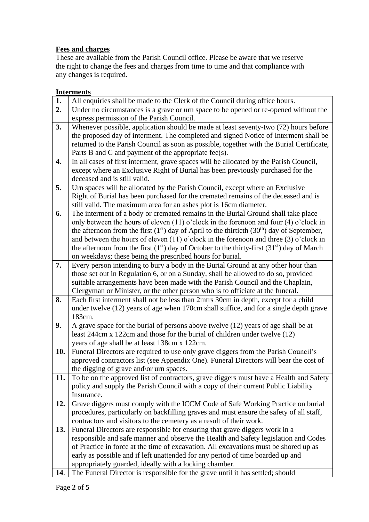# **Fees and charges**

These are available from the Parish Council office. Please be aware that we reserve the right to change the fees and charges from time to time and that compliance with any changes is required.

# **Interments**

| 1.  | All enquiries shall be made to the Clerk of the Council during office hours.                                                       |
|-----|------------------------------------------------------------------------------------------------------------------------------------|
| 2.  | Under no circumstances is a grave or urn space to be opened or re-opened without the                                               |
|     | express permission of the Parish Council.                                                                                          |
| 3.  | Whenever possible, application should be made at least seventy-two (72) hours before                                               |
|     | the proposed day of interment. The completed and signed Notice of Interment shall be                                               |
|     | returned to the Parish Council as soon as possible, together with the Burial Certificate,                                          |
|     | Parts B and C and payment of the appropriate fee(s).                                                                               |
| 4.  | In all cases of first interment, grave spaces will be allocated by the Parish Council,                                             |
|     | except where an Exclusive Right of Burial has been previously purchased for the                                                    |
|     | deceased and is still valid.                                                                                                       |
| 5.  | Urn spaces will be allocated by the Parish Council, except where an Exclusive                                                      |
|     | Right of Burial has been purchased for the cremated remains of the deceased and is                                                 |
|     | still valid. The maximum area for an ashes plot is 16cm diameter.                                                                  |
| 6.  | The interment of a body or cremated remains in the Burial Ground shall take place                                                  |
|     | only between the hours of eleven $(11)$ o'clock in the forenoon and four $(4)$ o'clock in                                          |
|     | the afternoon from the first $(1st)$ day of April to the thirtieth $(30th)$ day of September,                                      |
|     | and between the hours of eleven $(11)$ o'clock in the forenoon and three $(3)$ o'clock in                                          |
|     | the afternoon from the first $(1st)$ day of October to the thirty-first $(31st)$ day of March                                      |
|     | on weekdays; these being the prescribed hours for burial.                                                                          |
| 7.  | Every person intending to bury a body in the Burial Ground at any other hour than                                                  |
|     | those set out in Regulation 6, or on a Sunday, shall be allowed to do so, provided                                                 |
|     | suitable arrangements have been made with the Parish Council and the Chaplain,                                                     |
|     | Clergyman or Minister, or the other person who is to officiate at the funeral.                                                     |
| 8.  | Each first interment shall not be less than 2mtrs 30cm in depth, except for a child                                                |
|     | under twelve (12) years of age when 170cm shall suffice, and for a single depth grave                                              |
|     | 183cm.                                                                                                                             |
| 9.  | A grave space for the burial of persons above twelve (12) years of age shall be at                                                 |
|     | least 244cm x 122cm and those for the burial of children under twelve (12)                                                         |
|     | years of age shall be at least 138cm x 122cm.                                                                                      |
| 10. | Funeral Directors are required to use only grave diggers from the Parish Council's                                                 |
|     | approved contractors list (see Appendix One). Funeral Directors will bear the cost of                                              |
| 11. | the digging of grave and \or urn spaces.<br>To be on the approved list of contractors, grave diggers must have a Health and Safety |
|     | policy and supply the Parish Council with a copy of their current Public Liability                                                 |
|     | Insurance.                                                                                                                         |
| 12. | Grave diggers must comply with the ICCM Code of Safe Working Practice on burial                                                    |
|     | procedures, particularly on backfilling graves and must ensure the safety of all staff,                                            |
|     | contractors and visitors to the cemetery as a result of their work.                                                                |
| 13. | Funeral Directors are responsible for ensuring that grave diggers work in a                                                        |
|     | responsible and safe manner and observe the Health and Safety legislation and Codes                                                |
|     | of Practice in force at the time of excavation. All excavations must be shored up as                                               |
|     | early as possible and if left unattended for any period of time boarded up and                                                     |
|     | appropriately guarded, ideally with a locking chamber.                                                                             |
| 14. | The Funeral Director is responsible for the grave until it has settled; should                                                     |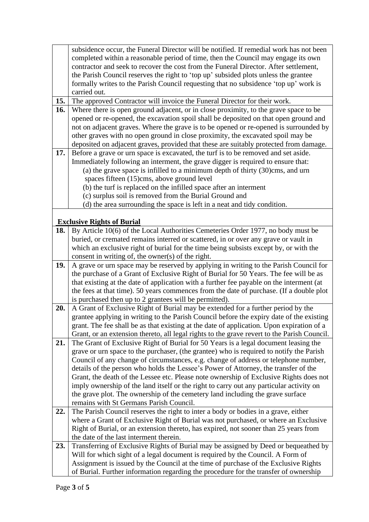|     | subsidence occur, the Funeral Director will be notified. If remedial work has not been                                                                                    |
|-----|---------------------------------------------------------------------------------------------------------------------------------------------------------------------------|
|     | completed within a reasonable period of time, then the Council may engage its own                                                                                         |
|     | contractor and seek to recover the cost from the Funeral Director. After settlement,                                                                                      |
|     | the Parish Council reserves the right to 'top up' subsided plots unless the grantee                                                                                       |
|     | formally writes to the Parish Council requesting that no subsidence 'top up' work is                                                                                      |
|     | carried out.                                                                                                                                                              |
| 15. | The approved Contractor will invoice the Funeral Director for their work.                                                                                                 |
| 16. | Where there is open ground adjacent, or in close proximity, to the grave space to be                                                                                      |
|     | opened or re-opened, the excavation spoil shall be deposited on that open ground and                                                                                      |
|     | not on adjacent graves. Where the grave is to be opened or re-opened is surrounded by                                                                                     |
|     | other graves with no open ground in close proximity, the excavated spoil may be                                                                                           |
|     | deposited on adjacent graves, provided that these are suitably protected from damage.                                                                                     |
| 17. | Before a grave or urn space is excavated, the turf is to be removed and set aside.                                                                                        |
|     | Immediately following an interment, the grave digger is required to ensure that:                                                                                          |
|     | (a) the grave space is infilled to a minimum depth of thirty (30)cms, and urn                                                                                             |
|     | spaces fifteen (15)cms, above ground level                                                                                                                                |
|     | (b) the turf is replaced on the infilled space after an interment                                                                                                         |
|     | (c) surplus soil is removed from the Burial Ground and                                                                                                                    |
|     | (d) the area surrounding the space is left in a neat and tidy condition.                                                                                                  |
|     |                                                                                                                                                                           |
|     | <b>Exclusive Rights of Burial</b>                                                                                                                                         |
| 18. | By Article 10(6) of the Local Authorities Cemeteries Order 1977, no body must be                                                                                          |
|     | buried, or cremated remains interred or scattered, in or over any grave or vault in                                                                                       |
|     | which an exclusive right of burial for the time being subsists except by, or with the                                                                                     |
|     | consent in writing of, the owner(s) of the right.                                                                                                                         |
| 19. | A grave or urn space may be reserved by applying in writing to the Parish Council for                                                                                     |
|     | the purchase of a Grant of Exclusive Right of Burial for 50 Years. The fee will be as                                                                                     |
|     | that existing at the date of application with a further fee payable on the interment (at                                                                                  |
|     | the fees at that time). 50 years commences from the date of purchase. (If a double plot                                                                                   |
|     | is purchased then up to 2 grantees will be permitted).                                                                                                                    |
| 20. | A Grant of Exclusive Right of Burial may be extended for a further period by the                                                                                          |
|     | grantee applying in writing to the Parish Council before the expiry date of the existing                                                                                  |
|     | grant. The fee shall be as that existing at the date of application. Upon expiration of a                                                                                 |
|     | Grant, or an extension thereto, all legal rights to the grave revert to the Parish Council.                                                                               |
| 21. | The Grant of Exclusive Right of Burial for 50 Years is a legal document leasing the                                                                                       |
|     | grave or urn space to the purchaser, (the grantee) who is required to notify the Parish                                                                                   |
|     | Council of any change of circumstances, e.g. change of address or telephone number,                                                                                       |
|     | details of the person who holds the Lessee's Power of Attorney, the transfer of the                                                                                       |
|     | Grant, the death of the Lessee etc. Please note ownership of Exclusive Rights does not                                                                                    |
|     | imply ownership of the land itself or the right to carry out any particular activity on                                                                                   |
|     | the grave plot. The ownership of the cemetery land including the grave surface                                                                                            |
|     | remains with St Germans Parish Council.                                                                                                                                   |
| 22. | The Parish Council reserves the right to inter a body or bodies in a grave, either<br>where a Grant of Exclusive Right of Burial was not purchased, or where an Exclusive |
|     |                                                                                                                                                                           |
|     | Right of Burial, or an extension thereto, has expired, not sooner than 25 years from<br>the date of the last interment therein.                                           |
| 23. |                                                                                                                                                                           |
|     | Transferring of Exclusive Rights of Burial may be assigned by Deed or bequeathed by<br>Will for which sight of a legal document is required by the Council. A Form of     |
|     | Assignment is issued by the Council at the time of purchase of the Exclusive Rights                                                                                       |
|     | of Burial. Further information regarding the procedure for the transfer of ownership                                                                                      |
|     |                                                                                                                                                                           |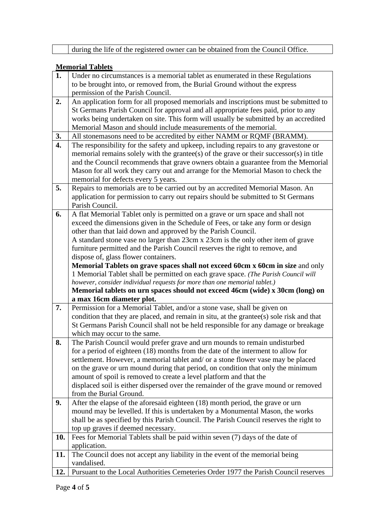|                  | during the life of the registered owner can be obtained from the Council Office.         |  |  |
|------------------|------------------------------------------------------------------------------------------|--|--|
|                  |                                                                                          |  |  |
|                  | <b>Memorial Tablets</b>                                                                  |  |  |
| 1.               | Under no circumstances is a memorial tablet as enumerated in these Regulations           |  |  |
|                  | to be brought into, or removed from, the Burial Ground without the express               |  |  |
|                  | permission of the Parish Council.                                                        |  |  |
| 2.               | An application form for all proposed memorials and inscriptions must be submitted to     |  |  |
|                  | St Germans Parish Council for approval and all appropriate fees paid, prior to any       |  |  |
|                  | works being undertaken on site. This form will usually be submitted by an accredited     |  |  |
|                  | Memorial Mason and should include measurements of the memorial.                          |  |  |
| <u>3.</u>        | All stonemasons need to be accredited by either NAMM or RQMF (BRAMM).                    |  |  |
| $\overline{4}$ . | The responsibility for the safety and upkeep, including repairs to any gravestone or     |  |  |
|                  | memorial remains solely with the grantee(s) of the grave or their successor(s) in title  |  |  |
|                  | and the Council recommends that grave owners obtain a guarantee from the Memorial        |  |  |
|                  | Mason for all work they carry out and arrange for the Memorial Mason to check the        |  |  |
|                  | memorial for defects every 5 years.                                                      |  |  |
| 5.               | Repairs to memorials are to be carried out by an accredited Memorial Mason. An           |  |  |
|                  | application for permission to carry out repairs should be submitted to St Germans        |  |  |
|                  | Parish Council.                                                                          |  |  |
| 6.               | A flat Memorial Tablet only is permitted on a grave or urn space and shall not           |  |  |
|                  | exceed the dimensions given in the Schedule of Fees, or take any form or design          |  |  |
|                  | other than that laid down and approved by the Parish Council.                            |  |  |
|                  | A standard stone vase no larger than 23cm x 23cm is the only other item of grave         |  |  |
|                  | furniture permitted and the Parish Council reserves the right to remove, and             |  |  |
|                  | dispose of, glass flower containers.                                                     |  |  |
|                  | Memorial Tablets on grave spaces shall not exceed 60cm x 60cm in size and only           |  |  |
|                  | 1 Memorial Tablet shall be permitted on each grave space. (The Parish Council will       |  |  |
|                  | however, consider individual requests for more than one memorial tablet.)                |  |  |
|                  | Memorial tablets on urn spaces should not exceed 46cm (wide) x 30cm (long) on            |  |  |
|                  | a max 16cm diameter plot.                                                                |  |  |
| 7.               | Permission for a Memorial Tablet, and/or a stone vase, shall be given on                 |  |  |
|                  | condition that they are placed, and remain in situ, at the grantee(s) sole risk and that |  |  |
|                  | St Germans Parish Council shall not be held responsible for any damage or breakage       |  |  |
|                  | which may occur to the same.                                                             |  |  |
| 8.               | The Parish Council would prefer grave and urn mounds to remain undisturbed               |  |  |
|                  | for a period of eighteen (18) months from the date of the interment to allow for         |  |  |
|                  | settlement. However, a memorial tablet and/ or a stone flower vase may be placed         |  |  |
|                  | on the grave or urn mound during that period, on condition that only the minimum         |  |  |
|                  | amount of spoil is removed to create a level platform and that the                       |  |  |
|                  | displaced soil is either dispersed over the remainder of the grave mound or removed      |  |  |
|                  | from the Burial Ground.                                                                  |  |  |
| 9.               | After the elapse of the aforesaid eighteen (18) month period, the grave or urn           |  |  |
|                  | mound may be levelled. If this is undertaken by a Monumental Mason, the works            |  |  |
|                  | shall be as specified by this Parish Council. The Parish Council reserves the right to   |  |  |
|                  | top up graves if deemed necessary.                                                       |  |  |
| 10.              | Fees for Memorial Tablets shall be paid within seven (7) days of the date of             |  |  |
|                  | application.                                                                             |  |  |
| 11.              | The Council does not accept any liability in the event of the memorial being             |  |  |
|                  | vandalised.                                                                              |  |  |
| 12.              | Pursuant to the Local Authorities Cemeteries Order 1977 the Parish Council reserves      |  |  |
|                  |                                                                                          |  |  |